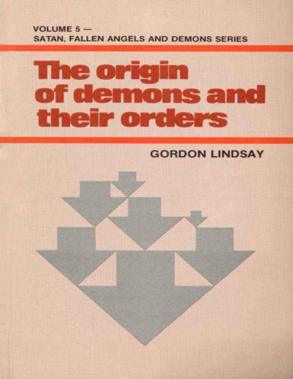#### **VOLUME 5-SATAN, FALLEN ANGELS AND DEMONS SERIES**



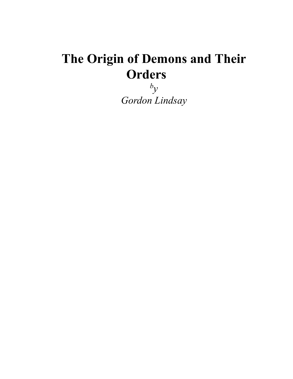# **The Origin of Demons and Their Orders**

*by Gordon Lindsay*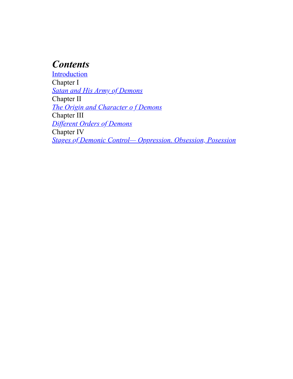## *Contents*

**[Introduction](#page-3-0)** Chapter I *Satan and His Army of [Demons](#page-4-0)* Chapter II *The Origin and [Character](#page-9-0) o f Demons* Chapter III *Dif erent Orders of [Demons](#page-15-0)* Chapter IV *Stages of Demonic Control— [Oppression.](#page-27-0) Obsession, Posession*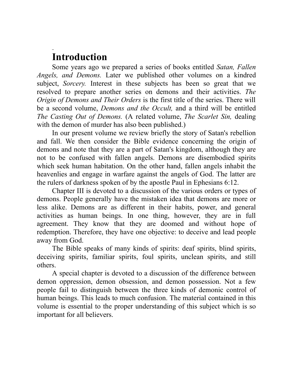# **Introduction**

<span id="page-3-0"></span>Some years ago we prepared a series of books entitled *Satan, Fallen Angels, and Demons.* Later we published other volumes on a kindred subject, *Sorcery.* Interest in these subjects has been so great that we resolved to prepare another series on demons and their activities. *The Origin of Demons and Their Orders* is the first title of the series. There will be a second volume, *Demons and the Occult,* and a third will be entitled *The Casting Out of Demons.* (A related volume, *The Scarlet Sin,* dealing with the demon of murder has also been published.)

In our present volume we review briefly the story of Satan's rebellion and fall. We then consider the Bible evidence concerning the origin of demons and note that they are a part of Satan's kingdom, although they are not to be confused with fallen angels. Demons are disembodied spirits which seek human habitation. On the other hand, fallen angels inhabit the heavenlies and engage in warfare against the angels of God. The latter are the rulers of darkness spoken of by the apostle Paul in Ephesians 6:12.

Chapter III is devoted to a discussion of the various orders or types of demons. People generally have the mistaken idea that demons are more or less alike. Demons are as different in their habits, power, and general activities as human beings. In one thing, however, they are in full agreement. They know that they are doomed and without hope of redemption. Therefore, they have one objective: to deceive and lead people away from God.

The Bible speaks of many kinds of spirits: deaf spirits, blind spirits, deceiving spirits, familiar spirits, foul spirits, unclean spirits, and still others.

A special chapter is devoted to a discussion of the difference between demon oppression, demon obsession, and demon possession. Not a few people fail to distinguish between the three kinds of demonic control of human beings. This leads to much confusion. The material contained in this volume is essential to the proper understanding of this subject which is so important for all believers.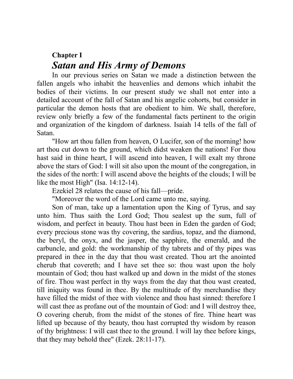#### **Chapter I** *Satan and His Army of Demons*

<span id="page-4-0"></span>In our previous series on Satan we made a distinction between the fallen angels who inhabit the heavenlies and demons which inhabit the bodies of their victims. In our present study we shall not enter into a detailed account of the fall of Satan and his angelic cohorts, but consider in particular the demon hosts that are obedient to him. We shall, therefore, review only briefly a few of the fundamental facts pertinent to the origin and organization of the kingdom of darkness. Isaiah 14 tells of the fall of Satan.

"How art thou fallen from heaven, O Lucifer, son of the morning! how art thou cut down to the ground, which didst weaken the nations! For thou hast said in thine heart, I will ascend into heaven, I will exalt my throne above the stars of God: I will sit also upon the mount of the congregation, in the sides of the north: I will ascend above the heights of the clouds; I will be like the most High" (Isa. 14:12-14).

Ezekiel 28 relates the cause of his fall—pride.

"Moreover the word of the Lord came unto me, saying.

Son of man, take up a lamentation upon the King of Tyrus, and say unto him. Thus saith the Lord God; Thou sealest up the sum, full of wisdom, and perfect in beauty. Thou hast been in Eden the garden of God; every precious stone was thy covering, the sardius, topaz, and the diamond, the beryl, the onyx, and the jasper, the sapphire, the emerald, and the carbuncle, and gold: the workmanship of thy tabrets and of thy pipes was prepared in thee in the day that thou wast created. Thou art the anointed cherub that covereth; and I have set thee so: thou wast upon the holy mountain of God; thou hast walked up and down in the midst of the stones of fire. Thou wast perfect in thy ways from the day that thou wast created, till iniquity was found in thee. By the multitude of thy merchandise they have filled the midst of thee with violence and thou hast sinned: therefore I will cast thee as profane out of the mountain of God: and I will destroy thee, O covering cherub, from the midst of the stones of fire. Thine heart was lifted up because of thy beauty, thou hast corrupted thy wisdom by reason of thy brightness: I will cast thee to the ground. I will lay thee before kings, that they may behold thee" (Ezek. 28:11-17).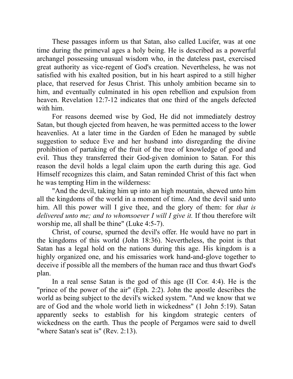These passages inform us that Satan, also called Lucifer, was at one time during the primeval ages a holy being. He is described as a powerful archangel possessing unusual wisdom who, in the dateless past, exercised great authority as vice-regent of God's creation. Nevertheless, he was not satisfied with his exalted position, but in his heart aspired to a still higher place, that reserved for Jesus Christ. This unholy ambition became sin to him, and eventually culminated in his open rebellion and expulsion from heaven. Revelation 12:7-12 indicates that one third of the angels defected with him.

For reasons deemed wise by God, He did not immediately destroy Satan, but though ejected from heaven, he was permitted access to the lower heavenlies. At a later time in the Garden of Eden he managed by subtle suggestion to seduce Eve and her husband into disregarding the divine prohibition of partaking of the fruit of the tree of knowledge of good and evil. Thus they transferred their God-given dominion to Satan. For this reason the devil holds a legal claim upon the earth during this age. God Himself recognizes this claim, and Satan reminded Christ of this fact when he was tempting Him in the wilderness:

"And the devil, taking him up into an high mountain, shewed unto him all the kingdoms of the world in a moment of time. And the devil said unto him. All this power will I give thee, and the glory of them: for *that is delivered unto me; and to whomsoever I will I give it.* If thou therefore wilt worship me, all shall be thine" (Luke 4:5-7).

Christ, of course, spurned the devil's offer. He would have no part in the kingdoms of this world (John 18:36). Nevertheless, the point is that Satan has a legal hold on the nations during this age. His kingdom is a highly organized one, and his emissaries work hand-and-glove together to deceive if possible all the members of the human race and thus thwart God's plan.

In a real sense Satan is the god of this age (II Cor. 4:4). He is the "prince of the power of the air" (Eph. 2:2). John the apostle describes the world as being subject to the devil's wicked system. "And we know that we are of God and the whole world lieth in wickedness" (1 John 5:19). Satan apparently seeks to establish for his kingdom strategic centers of wickedness on the earth. Thus the people of Pergamos were said to dwell "where Satan's seat is" (Rev. 2:13).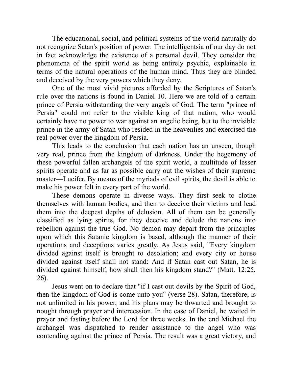The educational, social, and political systems of the world naturally do not recognize Satan's position of power. The intelligentsia of our day do not in fact acknowledge the existence of a personal devil. They consider the phenomena of the spirit world as being entirely psychic, explainable in terms of the natural operations of the human mind. Thus they are blinded and deceived by the very powers which they deny.

One of the most vivid pictures afforded by the Scriptures of Satan's rule over the nations is found in Daniel 10. Here we are told of a certain prince of Persia withstanding the very angels of God. The term "prince of Persia" could not refer to the visible king of that nation, who would certainly have no power to war against an angelic being, but to the invisible prince in the army of Satan who resided in the heavenlies and exercised the real power over the kingdom of Persia.

This leads to the conclusion that each nation has an unseen, though very real, prince from the kingdom of darkness. Under the hegemony of these powerful fallen archangels of the spirit world, a multitude of lesser spirits operate and as far as possible carry out the wishes of their supreme master—Lucifer. By means of the myriads of evil spirits, the devil is able to make his power felt in every part of the world.

These demons operate in diverse ways. They first seek to clothe themselves with human bodies, and then to deceive their victims and lead them into the deepest depths of delusion. All of them can be generally classified as lying spirits, for they deceive and delude the nations into rebellion against the true God. No demon may depart from the principles upon which this Satanic kingdom is based, although the manner of their operations and deceptions varies greatly. As Jesus said, "Every kingdom divided against itself is brought to desolation; and every city or house divided against itself shall not stand: And if Satan cast out Satan, he is divided against himself; how shall then his kingdom stand?" (Matt. 12:25, 26).

Jesus went on to declare that "if I cast out devils by the Spirit of God, then the kingdom of God is come unto you" (verse 28). Satan, therefore, is not unlimited in his power, and his plans may be thwarted and brought to nought through prayer and intercession. In the case of Daniel, he waited in prayer and fasting before the Lord for three weeks. In the end Michael the archangel was dispatched to render assistance to the angel who was contending against the prince of Persia. The result was a great victory, and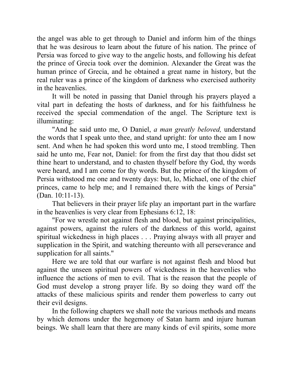the angel was able to get through to Daniel and inform him of the things that he was desirous to learn about the future of his nation. The prince of Persia was forced to give way to the angelic hosts, and following his defeat the prince of Grecia took over the dominion. Alexander the Great was the human prince of Grecia, and he obtained a great name in history, but the real ruler was a prince of the kingdom of darkness who exercised authority in the heavenlies.

It will be noted in passing that Daniel through his prayers played a vital part in defeating the hosts of darkness, and for his faithfulness he received the special commendation of the angel. The Scripture text is illuminating:

"And he said unto me, O Daniel, *a man greatly beloved,* understand the words that I speak unto thee, and stand upright: for unto thee am I now sent. And when he had spoken this word unto me, I stood trembling. Then said he unto me, Fear not, Daniel: for from the first day that thou didst set thine heart to understand, and to chasten thyself before thy God, thy words were heard, and I am come for thy words. But the prince of the kingdom of Persia withstood me one and twenty days: but, lo, Michael, one of the chief princes, came to help me; and I remained there with the kings of Persia" (Dan. 10:11-13).

That believers in their prayer life play an important part in the warfare in the heavenlies is very clear from Ephesians 6:12, 18:

"For we wrestle not against flesh and blood, but against principalities, against powers, against the rulers of the darkness of this world, against spiritual wickedness in high places . . . Praying always with all prayer and supplication in the Spirit, and watching thereunto with all perseverance and supplication for all saints."

Here we are told that our warfare is not against flesh and blood but against the unseen spiritual powers of wickedness in the heavenlies who influence the actions of men to evil. That is the reason that the people of God must develop a strong prayer life. By so doing they ward off the attacks of these malicious spirits and render them powerless to carry out their evil designs.

In the following chapters we shall note the various methods and means by which demons under the hegemony of Satan harm and injure human beings. We shall learn that there are many kinds of evil spirits, some more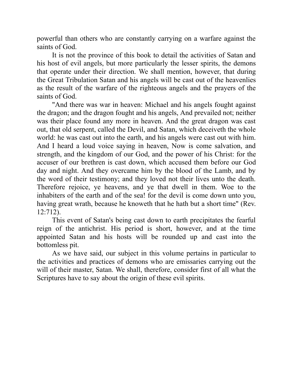powerful than others who are constantly carrying on a warfare against the saints of God.

It is not the province of this book to detail the activities of Satan and his host of evil angels, but more particularly the lesser spirits, the demons that operate under their direction. We shall mention, however, that during the Great Tribulation Satan and his angels will be cast out of the heavenlies as the result of the warfare of the righteous angels and the prayers of the saints of God.

"And there was war in heaven: Michael and his angels fought against the dragon; and the dragon fought and his angels, And prevailed not; neither was their place found any more in heaven. And the great dragon was cast out, that old serpent, called the Devil, and Satan, which deceiveth the whole world: he was cast out into the earth, and his angels were cast out with him. And I heard a loud voice saying in heaven, Now is come salvation, and strength, and the kingdom of our God, and the power of his Christ: for the accuser of our brethren is cast down, which accused them before our God day and night. And they overcame him by the blood of the Lamb, and by the word of their testimony; and they loved not their lives unto the death. Therefore rejoice, ye heavens, and ye that dwell in them. Woe to the inhabiters of the earth and of the sea! for the devil is come down unto you, having great wrath, because he knoweth that he hath but a short time" (Rev. 12:712).

This event of Satan's being cast down to earth precipitates the fearful reign of the antichrist. His period is short, however, and at the time appointed Satan and his hosts will be rounded up and cast into the bottomless pit.

As we have said, our subject in this volume pertains in particular to the activities and practices of demons who are emissaries carrying out the will of their master, Satan. We shall, therefore, consider first of all what the Scriptures have to say about the origin of these evil spirits.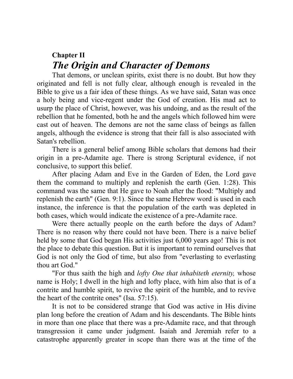#### **Chapter II** *The Origin and Character of Demons*

<span id="page-9-0"></span>That demons, or unclean spirits, exist there is no doubt. But how they originated and fell is not fully clear, although enough is revealed in the Bible to give us a fair idea of these things. As we have said, Satan was once a holy being and vice-regent under the God of creation. His mad act to usurp the place of Christ, however, was his undoing, and as the result of the rebellion that he fomented, both he and the angels which followed him were cast out of heaven. The demons are not the same class of beings as fallen angels, although the evidence is strong that their fall is also associated with Satan's rebellion.

There is a general belief among Bible scholars that demons had their origin in a pre-Adamite age. There is strong Scriptural evidence, if not conclusive, to support this belief.

After placing Adam and Eve in the Garden of Eden, the Lord gave them the command to multiply and replenish the earth (Gen. 1:28). This command was the same that He gave to Noah after the flood: "Multiply and replenish the earth" (Gen. 9:1). Since the same Hebrew word is used in each instance, the inference is that the population of the earth was depleted in both cases, which would indicate the existence of a pre-Adamite race.

Were there actually people on the earth before the days of Adam? There is no reason why there could not have been. There is a naive belief held by some that God began His activities just 6,000 years ago! This is not the place to debate this question. But it is important to remind ourselves that God is not only the God of time, but also from "everlasting to everlasting thou art God."

"For thus saith the high and *lofty One that inhabiteth eternity,* whose name is Holy; I dwell in the high and lofty place, with him also that is of a contrite and humble spirit, to revive the spirit of the humble, and to revive the heart of the contrite ones" (Isa. 57:15).

It is not to be considered strange that God was active in His divine plan long before the creation of Adam and his descendants. The Bible hints in more than one place that there was a pre-Adamite race, and that through transgression it came under judgment. Isaiah and Jeremiah refer to a catastrophe apparently greater in scope than there was at the time of the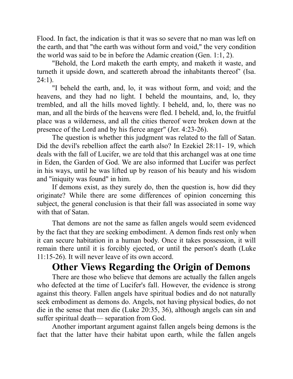Flood. In fact, the indication is that it was so severe that no man was left on the earth, and that "the earth was without form and void," the very condition the world was said to be in before the Adamic creation (Gen. 1:1, 2).

"Behold, the Lord maketh the earth empty, and maketh it waste, and turneth it upside down, and scattereth abroad the inhabitants thereof' (Isa. 24:1).

"I beheld the earth, and, lo, it was without form, and void; and the heavens, and they had no light. I beheld the mountains, and, lo, they trembled, and all the hills moved lightly. I beheld, and, lo, there was no man, and all the birds of the heavens were fled. I beheld, and, lo, the fruitful place was a wilderness, and all the cities thereof were broken down at the presence of the Lord and by his fierce anger" (Jer. 4:23-26).

The question is whether this judgment was related to the fall of Satan. Did the devil's rebellion affect the earth also? In Ezekiel 28:11- 19, which deals with the fall of Lucifer, we are told that this archangel was at one time in Eden, the Garden of God. We are also informed that Lucifer was perfect in his ways, until he was lifted up by reason of his beauty and his wisdom and "iniquity was found" in him.

If demons exist, as they surely do, then the question is, how did they originate? While there are some differences of opinion concerning this subject, the general conclusion is that their fall was associated in some way with that of Satan.

That demons are not the same as fallen angels would seem evidenced by the fact that they are seeking embodiment. A demon finds rest only when it can secure habitation in a human body. Once it takes possession, it will remain there until it is forcibly ejected, or until the person's death (Luke 11:15-26). It will never leave of its own accord.

# **Other Views Regarding the Origin of Demons**

There are those who believe that demons are actually the fallen angels who defected at the time of Lucifer's fall. However, the evidence is strong against this theory. Fallen angels have spiritual bodies and do not naturally seek embodiment as demons do. Angels, not having physical bodies, do not die in the sense that men die (Luke 20:35, 36), although angels can sin and suffer spiritual death— separation from God.

Another important argument against fallen angels being demons is the fact that the latter have their habitat upon earth, while the fallen angels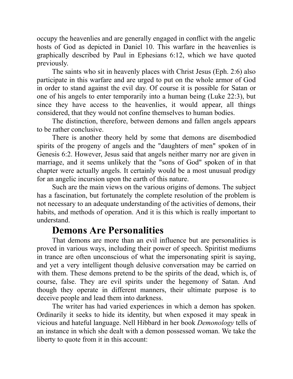occupy the heavenlies and are generally engaged in conflict with the angelic hosts of God as depicted in Daniel 10. This warfare in the heavenlies is graphically described by Paul in Ephesians 6:12, which we have quoted previously.

The saints who sit in heavenly places with Christ Jesus (Eph. 2:6) also participate in this warfare and are urged to put on the whole armor of God in order to stand against the evil day. Of course it is possible for Satan or one of his angels to enter temporarily into a human being (Luke 22:3), but since they have access to the heavenlies, it would appear, all things considered, that they would not confine themselves to human bodies.

The distinction, therefore, between demons and fallen angels appears to be rather conclusive.

There is another theory held by some that demons are disembodied spirits of the progeny of angels and the "daughters of men" spoken of in Genesis 6:2. However, Jesus said that angels neither marry nor are given in marriage, and it seems unlikely that the "sons of God" spoken of in that chapter were actually angels. It certainly would be a most unusual prodigy for an angelic incursion upon the earth of this nature.

Such are the main views on the various origins of demons. The subject has a fascination, but fortunately the complete resolution of the problem is not necessary to an adequate understanding of the activities of demons, their habits, and methods of operation. And it is this which is really important to understand.

# **Demons Are Personalities**

That demons are more than an evil influence but are personalities is proved in various ways, including their power of speech. Spiritist mediums in trance are often unconscious of what the impersonating spirit is saying, and yet a very intelligent though delusive conversation may be carried on with them. These demons pretend to be the spirits of the dead, which is, of course, false. They are evil spirits under the hegemony of Satan. And though they operate in different manners, their ultimate purpose is to deceive people and lead them into darkness.

The writer has had varied experiences in which a demon has spoken. Ordinarily it seeks to hide its identity, but when exposed it may speak in vicious and hateful language. Nell Hibbard in her book *Demonology* tells of an instance in which she dealt with a demon possessed woman. We take the liberty to quote from it in this account: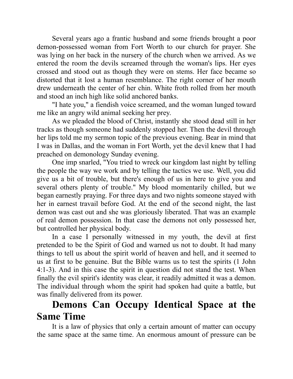Several years ago a frantic husband and some friends brought a poor demon-possessed woman from Fort Worth to our church for prayer. She was lying on her back in the nursery of the church when we arrived. As we entered the room the devils screamed through the woman's lips. Her eyes crossed and stood out as though they were on stems. Her face became so distorted that it lost a human resemblance. The right corner of her mouth drew underneath the center of her chin. White froth rolled from her mouth and stood an inch high like solid anchored banks.

"I hate you," a fiendish voice screamed, and the woman lunged toward me like an angry wild animal seeking her prey.

As we pleaded the blood of Christ, instantly she stood dead still in her tracks as though someone had suddenly stopped her. Then the devil through her lips told me my sermon topic of the previous evening. Bear in mind that I was in Dallas, and the woman in Fort Worth, yet the devil knew that I had preached on demonology Sunday evening.

One imp snarled, "You tried to wreck our kingdom last night by telling the people the way we work and by telling the tactics we use. Well, you did give us a bit of trouble, but there's enough of us in here to give you and several others plenty of trouble." My blood momentarily chilled, but we began earnestly praying. For three days and two nights someone stayed with her in earnest travail before God. At the end of the second night, the last demon was cast out and she was gloriously liberated. That was an example of real demon possession. In that case the demons not only possessed her, but controlled her physical body.

In a case I personally witnessed in my youth, the devil at first pretended to be the Spirit of God and warned us not to doubt. It had many things to tell us about the spirit world of heaven and hell, and it seemed to us at first to be genuine. But the Bible warns us to test the spirits (1 John 4:1-3). And in this case the spirit in question did not stand the test. When finally the evil spirit's identity was clear, it readily admitted it was a demon. The individual through whom the spirit had spoken had quite a battle, but was finally delivered from its power.

# **Demons Can Occupy Identical Space at the Same Time**

It is a law of physics that only a certain amount of matter can occupy the same space at the same time. An enormous amount of pressure can be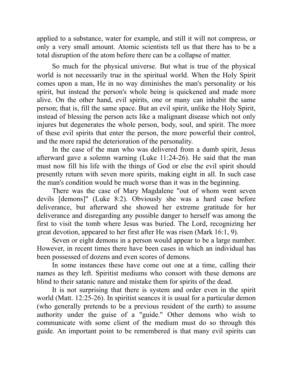applied to a substance, water for example, and still it will not compress, or only a very small amount. Atomic scientists tell us that there has to be a total disruption of the atom before there can be a collapse of matter.

So much for the physical universe. But what is true of the physical world is not necessarily true in the spiritual world. When the Holy Spirit comes upon a man, He in no way diminishes the man's personality or his spirit, but instead the person's whole being is quickened and made more alive. On the other hand, evil spirits, one or many can inhabit the same person; that is, fill the same space. But an evil spirit, unlike the Holy Spirit, instead of blessing the person acts like a malignant disease which not only injures but degenerates the whole person, body, soul, and spirit. The more of these evil spirits that enter the person, the more powerful their control, and the more rapid the deterioration of the personality.

In the case of the man who was delivered from a dumb spirit, Jesus afterward gave a solemn warning (Luke 11:24-26). He said that the man must now fill his life with the things of God or else the evil spirit should presently return with seven more spirits, making eight in all. In such case the man's condition would be much worse than it was in the beginning.

There was the case of Mary Magdalene "out of whom went seven devils [demons]" (Luke 8:2). Obviously she was a hard case before deliverance, but afterward she showed her extreme gratitude for her deliverance and disregarding any possible danger to herself was among the first to visit the tomb where Jesus was buried. The Lord, recognizing her great devotion, appeared to her first after He was risen (Mark 16:1, 9).

Seven or eight demons in a person would appear to be a large number. However, in recent times there have been cases in which an individual has been possessed of dozens and even scores of demons.

In some instances these have come out one at a time, calling their names as they left. Spiritist mediums who consort with these demons are blind to their satanic nature and mistake them for spirits of the dead.

It is not surprising that there is system and order even in the spirit world (Matt. 12:25-26). In spiritist seances it is usual for a particular demon (who generally pretends to be a previous resident of the earth) to assume authority under the guise of a "guide." Other demons who wish to communicate with some client of the medium must do so through this guide. An important point to be remembered is that many evil spirits can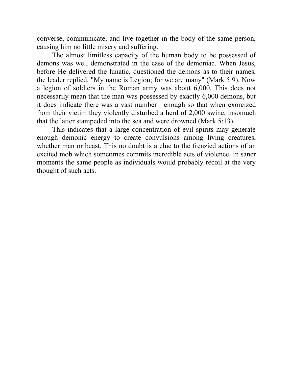converse, communicate, and live together in the body of the same person, causing him no little misery and suffering.

The almost limitless capacity of the human body to be possessed of demons was well demonstrated in the case of the demoniac. When Jesus, before He delivered the lunatic, questioned the demons as to their names, the leader replied, "My name is Legion; for we are many" (Mark 5:9). Now a legion of soldiers in the Roman army was about 6,000. This does not necessarily mean that the man was possessed by exactly 6,000 demons, but it does indicate there was a vast number—enough so that when exorcized from their victim they violently disturbed a herd of 2,000 swine, insomuch that the latter stampeded into the sea and were drowned (Mark 5:13).

This indicates that a large concentration of evil spirits may generate enough demonic energy to create convulsions among living creatures, whether man or beast. This no doubt is a clue to the frenzied actions of an excited mob which sometimes commits incredible acts of violence. In saner moments the same people as individuals would probably recoil at the very thought of such acts.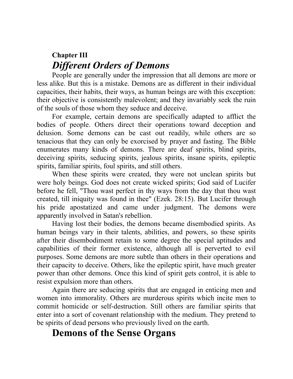#### **Chapter III** *Dif erent Orders of Demons*

<span id="page-15-0"></span>People are generally under the impression that all demons are more or less alike. But this is a mistake. Demons are as different in their individual capacities, their habits, their ways, as human beings are with this exception: their objective is consistently malevolent; and they invariably seek the ruin of the souls of those whom they seduce and deceive.

For example, certain demons are specifically adapted to afflict the bodies of people. Others direct their operations toward deception and delusion. Some demons can be cast out readily, while others are so tenacious that they can only be exorcised by prayer and fasting. The Bible enumerates many kinds of demons. There are deaf spirits, blind spirits, deceiving spirits, seducing spirits, jealous spirits, insane spirits, epileptic spirits, familiar spirits, foul spirits, and still others.

When these spirits were created, they were not unclean spirits but were holy beings. God does not create wicked spirits; God said of Lucifer before he fell, "Thou wast perfect in thy ways from the day that thou wast created, till iniquity was found in thee" (Ezek. 28:15). But Lucifer through his pride apostatized and came under judgment. The demons were apparently involved in Satan's rebellion.

Having lost their bodies, the demons became disembodied spirits. As human beings vary in their talents, abilities, and powers, so these spirits after their disembodiment retain to some degree the special aptitudes and capabilities of their former existence, although all is perverted to evil purposes. Some demons are more subtle than others in their operations and their capacity to deceive. Others, like the epileptic spirit, have much greater power than other demons. Once this kind of spirit gets control, it is able to resist expulsion more than others.

Again there are seducing spirits that are engaged in enticing men and women into immorality. Others are murderous spirits which incite men to commit homicide or self-destruction. Still others are familiar spirits that enter into a sort of covenant relationship with the medium. They pretend to be spirits of dead persons who previously lived on the earth.

#### **Demons of the Sense Organs**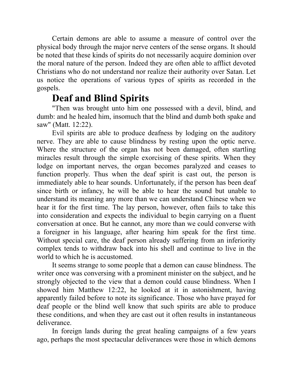Certain demons are able to assume a measure of control over the physical body through the major nerve centers of the sense organs. It should be noted that these kinds of spirits do not necessarily acquire dominion over the moral nature of the person. Indeed they are often able to afflict devoted Christians who do not understand nor realize their authority over Satan. Let us notice the operations of various types of spirits as recorded in the gospels.

# **Deaf and Blind Spirits**

"Then was brought unto him one possessed with a devil, blind, and dumb: and he healed him, insomuch that the blind and dumb both spake and saw" (Matt. 12:22).

Evil spirits are able to produce deafness by lodging on the auditory nerve. They are able to cause blindness by resting upon the optic nerve. Where the structure of the organ has not been damaged, often startling miracles result through the simple exorcising of these spirits. When they lodge on important nerves, the organ becomes paralyzed and ceases to function properly. Thus when the deaf spirit is cast out, the person is immediately able to hear sounds. Unfortunately, if the person has been deaf since birth or infancy, he will be able to hear the sound but unable to understand its meaning any more than we can understand Chinese when we hear it for the first time. The lay person, however, often fails to take this into consideration and expects the individual to begin carrying on a fluent conversation at once. But he cannot, any more than we could converse with a foreigner in his language, after hearing him speak for the first time. Without special care, the deaf person already suffering from an inferiority complex tends to withdraw back into his shell and continue to live in the world to which he is accustomed.

It seems strange to some people that a demon can cause blindness. The writer once was conversing with a prominent minister on the subject, and he strongly objected to the view that a demon could cause blindness. When I showed him Matthew 12:22, he looked at it in astonishment, having apparently failed before to note its significance. Those who have prayed for deaf people or the blind well know that such spirits are able to produce these conditions, and when they are cast out it often results in instantaneous deliverance.

In foreign lands during the great healing campaigns of a few years ago, perhaps the most spectacular deliverances were those in which demons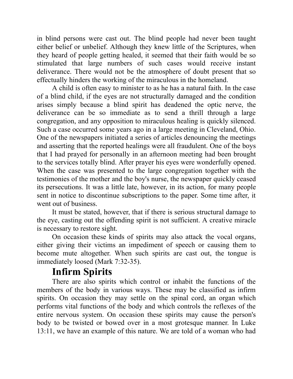in blind persons were cast out. The blind people had never been taught either belief or unbelief. Although they knew little of the Scriptures, when they heard of people getting healed, it seemed that their faith would be so stimulated that large numbers of such cases would receive instant deliverance. There would not be the atmosphere of doubt present that so effectually hinders the working of the miraculous in the homeland.

A child is often easy to minister to as he has a natural faith. In the case of a blind child, if the eyes are not structurally damaged and the condition arises simply because a blind spirit has deadened the optic nerve, the deliverance can be so immediate as to send a thrill through a large congregation, and any opposition to miraculous healing is quickly silenced. Such a case occurred some years ago in a large meeting in Cleveland, Ohio. One of the newspapers initiated a series of articles denouncing the meetings and asserting that the reported healings were all fraudulent. One of the boys that I had prayed for personally in an afternoon meeting had been brought to the services totally blind. After prayer his eyes were wonderfully opened. When the case was presented to the large congregation together with the testimonies of the mother and the boy's nurse, the newspaper quickly ceased its persecutions. It was a little late, however, in its action, for many people sent in notice to discontinue subscriptions to the paper. Some time after, it went out of business.

It must be stated, however, that if there is serious structural damage to the eye, casting out the offending spirit is not sufficient. A creative miracle is necessary to restore sight.

On occasion these kinds of spirits may also attack the vocal organs, either giving their victims an impediment of speech or causing them to become mute altogether. When such spirits are cast out, the tongue is immediately loosed (Mark 7:32-35).

#### **Infirm Spirits**

There are also spirits which control or inhabit the functions of the members of the body in various ways. These may be classified as infirm spirits. On occasion they may settle on the spinal cord, an organ which performs vital functions of the body and which controls the reflexes of the entire nervous system. On occasion these spirits may cause the person's body to be twisted or bowed over in a most grotesque manner. In Luke 13:11, we have an example of this nature. We are told of a woman who had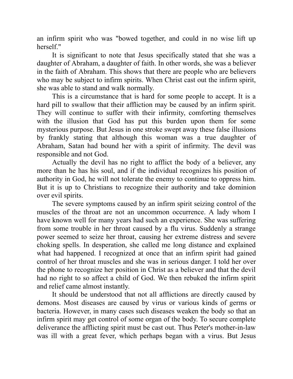an infirm spirit who was "bowed together, and could in no wise lift up herself."

It is significant to note that Jesus specifically stated that she was a daughter of Abraham, a daughter of faith. In other words, she was a believer in the faith of Abraham. This shows that there are people who are believers who may be subject to infirm spirits. When Christ cast out the infirm spirit, she was able to stand and walk normally.

This is a circumstance that is hard for some people to accept. It is a hard pill to swallow that their affliction may be caused by an infirm spirit. They will continue to suffer with their infirmity, comforting themselves with the illusion that God has put this burden upon them for some mysterious purpose. But Jesus in one stroke swept away these false illusions by frankly stating that although this woman was a true daughter of Abraham, Satan had bound her with a spirit of infirmity. The devil was responsible and not God.

Actually the devil has no right to afflict the body of a believer, any more than he has his soul, and if the individual recognizes his position of authority in God, he will not tolerate the enemy to continue to oppress him. But it is up to Christians to recognize their authority and take dominion over evil spirits.

The severe symptoms caused by an infirm spirit seizing control of the muscles of the throat are not an uncommon occurrence. A lady whom I have known well for many years had such an experience. She was suffering from some trouble in her throat caused by a flu virus. Suddenly a strange power seemed to seize her throat, causing her extreme distress and severe choking spells. In desperation, she called me long distance and explained what had happened. I recognized at once that an infirm spirit had gained control of her throat muscles and she was in serious danger. I told her over the phone to recognize her position in Christ as a believer and that the devil had no right to so affect a child of God. We then rebuked the infirm spirit and relief came almost instantly.

It should be understood that not all afflictions are directly caused by demons. Most diseases are caused by virus or various kinds of germs or bacteria. However, in many cases such diseases weaken the body so that an infirm spirit may get control of some organ of the body. To secure complete deliverance the afflicting spirit must be cast out. Thus Peter's mother-in-law was ill with a great fever, which perhaps began with a virus. But Jesus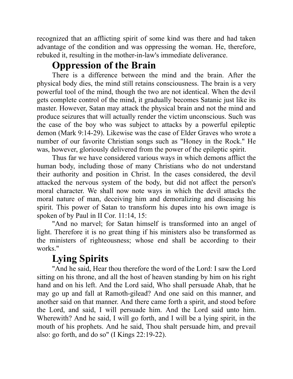recognized that an afflicting spirit of some kind was there and had taken advantage of the condition and was oppressing the woman. He, therefore, rebuked it, resulting in the mother-in-law's immediate deliverance.

#### **Oppression of the Brain**

There is a difference between the mind and the brain. After the physical body dies, the mind still retains consciousness. The brain is a very powerful tool of the mind, though the two are not identical. When the devil gets complete control of the mind, it gradually becomes Satanic just like its master. However, Satan may attack the physical brain and not the mind and produce seizures that will actually render the victim unconscious. Such was the case of the boy who was subject to attacks by a powerful epileptic demon (Mark 9:14-29). Likewise was the case of Elder Graves who wrote a number of our favorite Christian songs such as "Honey in the Rock." He was, however, gloriously delivered from the power of the epileptic spirit.

Thus far we have considered various ways in which demons afflict the human body, including those of many Christians who do not understand their authority and position in Christ. In the cases considered, the devil attacked the nervous system of the body, but did not affect the person's moral character. We shall now note ways in which the devil attacks the moral nature of man, deceiving him and demoralizing and diseasing his spirit. This power of Satan to transform his dupes into his own image is spoken of by Paul in II Cor. 11:14, 15:

"And no marvel; for Satan himself is transformed into an angel of light. Therefore it is no great thing if his ministers also be transformed as the ministers of righteousness; whose end shall be according to their works."

# **Lying Spirits**

"And he said, Hear thou therefore the word of the Lord: I saw the Lord sitting on his throne, and all the host of heaven standing by him on his right hand and on his left. And the Lord said, Who shall persuade Ahab, that he may go up and fall at Ramoth-gilead? And one said on this manner, and another said on that manner. And there came forth a spirit, and stood before the Lord, and said, I will persuade him. And the Lord said unto him. Wherewith? And he said, I will go forth, and I will be a lying spirit, in the mouth of his prophets. And he said, Thou shalt persuade him, and prevail also: go forth, and do so" (I Kings 22:19-22).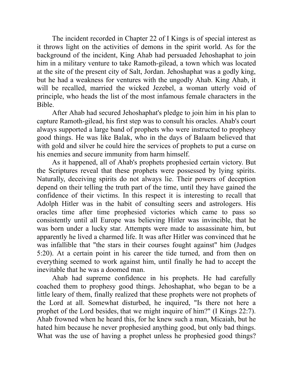The incident recorded in Chapter 22 of I Kings is of special interest as it throws light on the activities of demons in the spirit world. As for the background of the incident, King Ahab had persuaded Jehoshaphat to join him in a military venture to take Ramoth-gilead, a town which was located at the site of the present city of Salt, Jordan. Jehoshaphat was a godly king, but he had a weakness for ventures with the ungodly Ahab. King Ahab, it will be recalled, married the wicked Jezebel, a woman utterly void of principle, who heads the list of the most infamous female characters in the Bible.

After Ahab had secured Jehoshaphat's pledge to join him in his plan to capture Ramoth-gilead, his first step was to consult his oracles. Ahab's court always supported a large band of prophets who were instructed to prophesy good things. He was like Balak, who in the days of Balaam believed that with gold and silver he could hire the services of prophets to put a curse on his enemies and secure immunity from harm himself.

As it happened, all of Ahab's prophets prophesied certain victory. But the Scriptures reveal that these prophets were possessed by lying spirits. Naturally, deceiving spirits do not always lie. Their powers of deception depend on their telling the truth part of the time, until they have gained the confidence of their victims. In this respect it is interesting to recall that Adolph Hitler was in the habit of consulting seers and astrologers. His oracles time after time prophesied victories which came to pass so consistently until all Europe was believing Hitler was invincible, that he was born under a lucky star. Attempts were made to assassinate him, but apparently he lived a charmed life. It was after Hitler was convinced that he was infallible that "the stars in their courses fought against" him (Judges 5:20). At a certain point in his career the tide turned, and from then on everything seemed to work against him, until finally he had to accept the inevitable that he was a doomed man.

Ahab had supreme confidence in his prophets. He had carefully coached them to prophesy good things. Jehoshaphat, who began to be a little leary of them, finally realized that these prophets were not prophets of the Lord at all. Somewhat disturbed, he inquired, "Is there not here a prophet of the Lord besides, that we might inquire of him?" (I Kings 22:7). Ahab frowned when he heard this, for he knew such a man, Micaiah, but he hated him because he never prophesied anything good, but only bad things. What was the use of having a prophet unless he prophesied good things?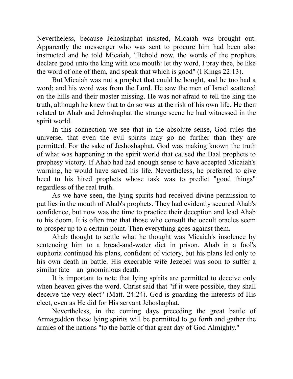Nevertheless, because Jehoshaphat insisted, Micaiah was brought out. Apparently the messenger who was sent to procure him had been also instructed and he told Micaiah, "Behold now, the words of the prophets declare good unto the king with one mouth: let thy word, I pray thee, be like the word of one of them, and speak that which is good" (I Kings 22:13).

But Micaiah was not a prophet that could be bought, and he too had a word; and his word was from the Lord. He saw the men of Israel scattered on the hills and their master missing. He was not afraid to tell the king the truth, although he knew that to do so was at the risk of his own life. He then related to Ahab and Jehoshaphat the strange scene he had witnessed in the spirit world.

In this connection we see that in the absolute sense, God rules the universe, that even the evil spirits may go no further than they are permitted. For the sake of Jeshoshaphat, God was making known the truth of what was happening in the spirit world that caused the Baal prophets to prophesy victory. If Ahab had had enough sense to have accepted Micaiah's warning, he would have saved his life. Nevertheless, he preferred to give heed to his hired prophets whose task was to predict "good things" regardless of the real truth.

As we have seen, the lying spirits had received divine permission to put lies in the mouth of Ahab's prophets. They had evidently secured Ahab's confidence, but now was the time to practice their deception and lead Ahab to his doom. It is often true that those who consult the occult oracles seem to prosper up to a certain point. Then everything goes against them.

Ahab thought to settle what he thought was Micaiah's insolence by sentencing him to a bread-and-water diet in prison. Ahab in a fool's euphoria continued his plans, confident of victory, but his plans led only to his own death in battle. His execrable wife Jezebel was soon to suffer a similar fate—an ignominious death.

It is important to note that lying spirits are permitted to deceive only when heaven gives the word. Christ said that "if it were possible, they shall deceive the very elect" (Matt. 24:24). God is guarding the interests of His elect, even as He did for His servant Jehoshaphat.

Nevertheless, in the coming days preceding the great battle of Armageddon these lying spirits will be permitted to go forth and gather the armies of the nations "to the battle of that great day of God Almighty."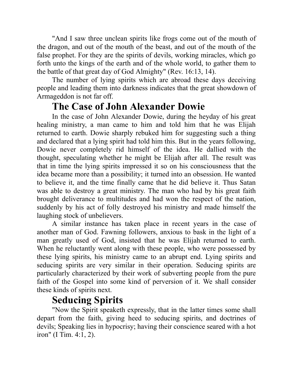"And I saw three unclean spirits like frogs come out of the mouth of the dragon, and out of the mouth of the beast, and out of the mouth of the false prophet. For they are the spirits of devils, working miracles, which go forth unto the kings of the earth and of the whole world, to gather them to the battle of that great day of God Almighty" (Rev. 16:13, 14).

The number of lying spirits which are abroad these days deceiving people and leading them into darkness indicates that the great showdown of Armageddon is not far off.

## **The Case of John Alexander Dowie**

In the case of John Alexander Dowie, during the heyday of his great healing ministry, a man came to him and told him that he was Elijah returned to earth. Dowie sharply rebuked him for suggesting such a thing and declared that a lying spirit had told him this. But in the years following, Dowie never completely rid himself of the idea. He dallied with the thought, speculating whether he might be Elijah after all. The result was that in time the lying spirits impressed it so on his consciousness that the idea became more than a possibility; it turned into an obsession. He wanted to believe it, and the time finally came that he did believe it. Thus Satan was able to destroy a great ministry. The man who had by his great faith brought deliverance to multitudes and had won the respect of the nation, suddenly by his act of folly destroyed his ministry and made himself the laughing stock of unbelievers.

A similar instance has taken place in recent years in the case of another man of God. Fawning followers, anxious to bask in the light of a man greatly used of God, insisted that he was Elijah returned to earth. When he reluctantly went along with these people, who were possessed by these lying spirits, his ministry came to an abrupt end. Lying spirits and seducing spirits are very similar in their operation. Seducing spirits are particularly characterized by their work of subverting people from the pure faith of the Gospel into some kind of perversion of it. We shall consider these kinds of spirits next.

# **Seducing Spirits**

"Now the Spirit speaketh expressly, that in the latter times some shall depart from the faith, giving heed to seducing spirits, and doctrines of devils; Speaking lies in hypocrisy; having their conscience seared with a hot iron" (I Tim. 4:1, 2).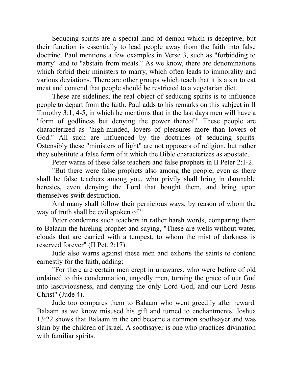Seducing spirits are a special kind of demon which is deceptive, but their function is essentially to lead people away from the faith into false doctrine. Paul mentions a few examples in Verse 3, such as "forbidding to marry" and to "abstain from meats." As we know, there are denominations which forbid their ministers to marry, which often leads to immorality and various deviations. There are other groups which teach that it is a sin to eat meat and contend that people should be restricted to a vegetarian diet.

These are sidelines; the real object of seducing spirits is to influence people to depart from the faith. Paul adds to his remarks on this subject in II Timothy 3:1, 4-5, in which he mentions that in the last days men will have a "form of godliness but denying the power thereof." These people are characterized as "high-minded, lovers of pleasures more than lovers of God." All such are influenced by the doctrines of seducing spirits. Ostensibly these "ministers of light" are not opposers of religion, but rather they substitute a false form of it which the Bible characterizes as apostate.

Peter warns of these false teachers and false prophets in II Peter 2:1-2.

"But there were false prophets also among the people, even as there shall be false teachers among you, who privily shall bring in damnable heresies, even denying the Lord that bought them, and bring upon themselves swift destruction.

And many shall follow their pernicious ways; by reason of whom the way of truth shall be evil spoken of."

Peter condemns such teachers in rather harsh words, comparing them to Balaam the hireling prophet and saying, "These are wells without water, clouds that are carried with a tempest, to whom the mist of darkness is reserved forever" (II Pet. 2:17).

Jude also warns against these men and exhorts the saints to contend earnestly for the faith, adding:

"For there are certain men crept in unawares, who were before of old ordained to this condemnation, ungodly men, turning the grace of our God into lasciviousness, and denying the only Lord God, and our Lord Jesus Christ" (Jude 4).

Jude too compares them to Balaam who went greedily after reward. Balaam as we know misused his gift and turned to enchantments. Joshua 13:22 shows that Balaam in the end became a common soothsayer and was slain by the children of Israel. A soothsayer is one who practices divination with familiar spirits.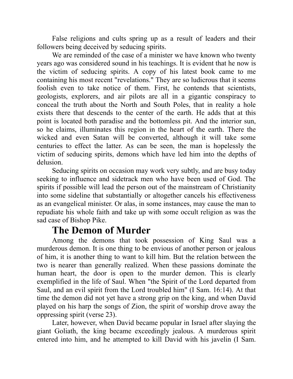False religions and cults spring up as a result of leaders and their followers being deceived by seducing spirits.

We are reminded of the case of a minister we have known who twenty years ago was considered sound in his teachings. It is evident that he now is the victim of seducing spirits. A copy of his latest book came to me containing his most recent "revelations." They are so ludicrous that it seems foolish even to take notice of them. First, he contends that scientists, geologists, explorers, and air pilots are all in a gigantic conspiracy to conceal the truth about the North and South Poles, that in reality a hole exists there that descends to the center of the earth. He adds that at this point is located both paradise and the bottomless pit. And the interior sun, so he claims, illuminates this region in the heart of the earth. There the wicked and even Satan will be converted, although it will take some centuries to effect the latter. As can be seen, the man is hopelessly the victim of seducing spirits, demons which have led him into the depths of delusion.

Seducing spirits on occasion may work very subtly, and are busy today seeking to influence and sidetrack men who have been used of God. The spirits if possible will lead the person out of the mainstream of Christianity into some sideline that substantially or altogether cancels his effectiveness as an evangelical minister. Or alas, in some instances, may cause the man to repudiate his whole faith and take up with some occult religion as was the sad case of Bishop Pike.

#### **The Demon of Murder**

Among the demons that took possession of King Saul was a murderous demon. It is one thing to be envious of another person or jealous of him, it is another thing to want to kill him. But the relation between the two is nearer than generally realized. When these passions dominate the human heart, the door is open to the murder demon. This is clearly exemplified in the life of Saul. When "the Spirit of the Lord departed from Saul, and an evil spirit from the Lord troubled him" (I Sam. 16:14). At that time the demon did not yet have a strong grip on the king, and when David played on his harp the songs of Zion, the spirit of worship drove away the oppressing spirit (verse 23).

Later, however, when David became popular in Israel after slaying the giant Goliath, the king became exceedingly jealous. A murderous spirit entered into him, and he attempted to kill David with his javelin (I Sam.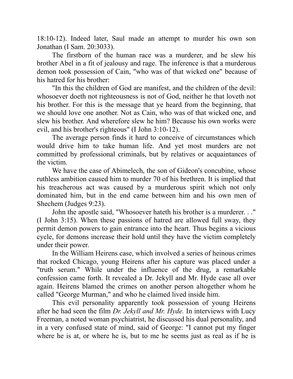18:10-12). Indeed later, Saul made an attempt to murder his own son Jonathan (I Sam. 20:3033).

The firstborn of the human race was a murderer, and he slew his brother Abel in a fit of jealousy and rage. The inference is that a murderous demon took possession of Cain, "who was of that wicked one" because of his hatred for his brother:

"In this the children of God are manifest, and the children of the devil: whosoever doeth not righteousness is not of God, neither he that loveth not his brother. For this is the message that ye heard from the beginning, that we should love one another. Not as Cain, who was of that wicked one, and slew his brother. And wherefore slew he him? Because his own works were evil, and his brother's righteous" (I John 3:10-12).

The average person finds it hard to conceive of circumstances which would drive him to take human life. And yet most murders are not committed by professional criminals, but by relatives or acquaintances of the victim.

We have the case of Abimelech, the son of Gideon's concubine, whose ruthless ambition caused him to murder 70 of his brethren. It is implied that his treacherous act was caused by a murderous spirit which not only dominated him, but in the end came between him and his own men of Shechem (Judges 9:23).

John the apostle said, "Whosoever hateth his brother is a murderer. . ." (I John 3:15). When these passions of hatred are allowed full sway, they permit demon powers to gain entrance into the heart. Thus begins a vicious cycle, for demons increase their hold until they have the victim completely under their power.

In the William Heirens case, which involved a series of heinous crimes that rocked Chicago, young Heirens after his capture was placed under a "truth serum." While under the influence of the drug, a remarkable confession came forth. It revealed a Dr. Jekyll and Mr. Hyde case all over again. Heirens blamed the crimes on another person altogether whom he called "George Murman," and who he claimed lived inside him.

This evil personality apparently took possession of young Heirens after he had seen the film *Dr. Jekyll and Mr. Hyde.* In interviews with Lucy Freeman, a noted woman psychiatrist, he discussed his dual personality, and in a very confused state of mind, said of George: "I cannot put my finger where he is at, or where he is, but to me he seems just as real as if he is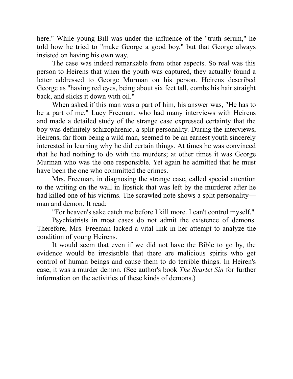here." While young Bill was under the influence of the "truth serum," he told how he tried to "make George a good boy," but that George always insisted on having his own way.

The case was indeed remarkable from other aspects. So real was this person to Heirens that when the youth was captured, they actually found a letter addressed to George Murman on his person. Heirens described George as "having red eyes, being about six feet tall, combs his hair straight back, and slicks it down with oil."

When asked if this man was a part of him, his answer was, "He has to be a part of me." Lucy Freeman, who had many interviews with Heirens and made a detailed study of the strange case expressed certainty that the boy was definitely schizophrenic, a split personality. During the interviews, Heirens, far from being a wild man, seemed to be an earnest youth sincerely interested in learning why he did certain things. At times he was convinced that he had nothing to do with the murders; at other times it was George Murman who was the one responsible. Yet again he admitted that he must have been the one who committed the crimes.

Mrs. Freeman, in diagnosing the strange case, called special attention to the writing on the wall in lipstick that was left by the murderer after he had killed one of his victims. The scrawled note shows a split personality man and demon. It read:

"For heaven's sake catch me before I kill more. I can't control myself."

Psychiatrists in most cases do not admit the existence of demons. Therefore, Mrs. Freeman lacked a vital link in her attempt to analyze the condition of young Heirens.

It would seem that even if we did not have the Bible to go by, the evidence would be irresistible that there are malicious spirits who get control of human beings and cause them to do terrible things. In Heiren's case, it was a murder demon. (See author's book *The Scarlet Sin* for further information on the activities of these kinds of demons.)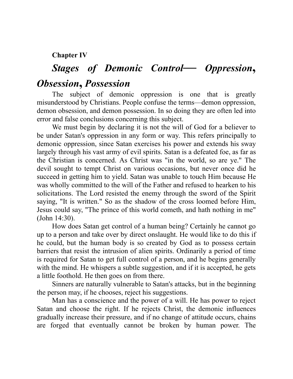#### **Chapter IV**

# <span id="page-27-0"></span>*Stages of Demonic Control***—** *Oppression***,** *Obsession***,** *Possession*

The subject of demonic oppression is one that is greatly misunderstood by Christians. People confuse the terms—demon oppression, demon obsession, and demon possession. In so doing they are often led into error and false conclusions concerning this subject.

We must begin by declaring it is not the will of God for a believer to be under Satan's oppression in any form or way. This refers principally to demonic oppression, since Satan exercises his power and extends his sway largely through his vast army of evil spirits. Satan is a defeated foe, as far as the Christian is concerned. As Christ was "in the world, so are ye." The devil sought to tempt Christ on various occasions, but never once did he succeed in getting him to yield. Satan was unable to touch Him because He was wholly committed to the will of the Father and refused to hearken to his solicitations. The Lord resisted the enemy through the sword of the Spirit saying, "It is written." So as the shadow of the cross loomed before Him, Jesus could say, "The prince of this world cometh, and hath nothing in me" (John 14:30).

How does Satan get control of a human being? Certainly he cannot go up to a person and take over by direct onslaught. He would like to do this if he could, but the human body is so created by God as to possess certain barriers that resist the intrusion of alien spirits. Ordinarily a period of time is required for Satan to get full control of a person, and he begins generally with the mind. He whispers a subtle suggestion, and if it is accepted, he gets a little foothold. He then goes on from there.

Sinners are naturally vulnerable to Satan's attacks, but in the beginning the person may, if he chooses, reject his suggestions.

Man has a conscience and the power of a will. He has power to reject Satan and choose the right. If he rejects Christ, the demonic influences gradually increase their pressure, and if no change of attitude occurs, chains are forged that eventually cannot be broken by human power. The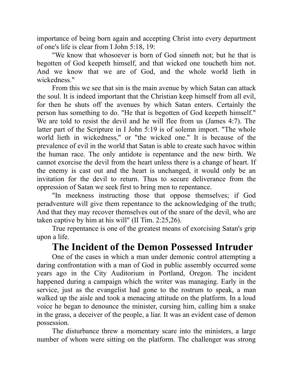importance of being born again and accepting Christ into every department of one's life is clear from I John 5:18, 19:

"We know that whosoever is born of God sinneth not; but he that is begotten of God keepeth himself, and that wicked one toucheth him not. And we know that we are of God, and the whole world lieth in wickedness."

From this we see that sin is the main avenue by which Satan can attack the soul. It is indeed important that the Christian keep himself from all evil, for then he shuts off the avenues by which Satan enters. Certainly the person has something to do. "He that is begotten of God keepeth himself." We are told to resist the devil and he will flee from us (James 4:7). The latter part of the Scripture in I John 5:19 is of solemn import. "The whole world lieth in wickedness," or "the wicked one." It is because of the prevalence of evil in the world that Satan is able to create such havoc within the human race. The only antidote is repentance and the new birth. We cannot exorcise the devil from the heart unless there is a change of heart. If the enemy is cast out and the heart is unchanged, it would only be an invitation for the devil to return. Thus to secure deliverance from the oppression of Satan we seek first to bring men to repentance.

"In meekness instructing those that oppose themselves; if God peradventure will give them repentance to the acknowledging of the truth; And that they may recover themselves out of the snare of the devil, who are taken captive by him at his will" (II Tim. 2:25,26).

True repentance is one of the greatest means of exorcising Satan's grip upon a life.

#### **The Incident of the Demon Possessed Intruder**

One of the cases in which a man under demonic control attempting a daring confrontation with a man of God in public assembly occurred some years ago in the City Auditorium in Portland, Oregon. The incident happened during a campaign which the writer was managing. Early in the service, just as the evangelist had gone to the rostrum to speak, a man walked up the aisle and took a menacing attitude on the platform. In a loud voice he began to denounce the minister, cursing him, calling him a snake in the grass, a deceiver of the people, a liar. It was an evident case of demon possession.

The disturbance threw a momentary scare into the ministers, a large number of whom were sitting on the platform. The challenger was strong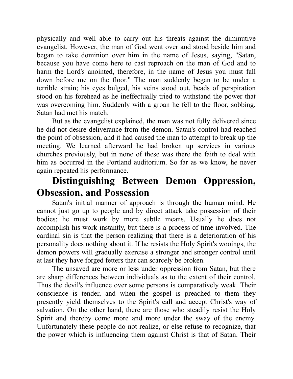physically and well able to carry out his threats against the diminutive evangelist. However, the man of God went over and stood beside him and began to take dominion over him in the name of Jesus, saying, "Satan, because you have come here to cast reproach on the man of God and to harm the Lord's anointed, therefore, in the name of Jesus you must fall down before me on the floor." The man suddenly began to be under a terrible strain; his eyes bulged, his veins stood out, beads of perspiration stood on his forehead as he ineffectually tried to withstand the power that was overcoming him. Suddenly with a groan he fell to the floor, sobbing. Satan had met his match.

But as the evangelist explained, the man was not fully delivered since he did not desire deliverance from the demon. Satan's control had reached the point of obsession, and it had caused the man to attempt to break up the meeting. We learned afterward he had broken up services in various churches previously, but in none of these was there the faith to deal with him as occurred in the Portland auditorium. So far as we know, he never again repeated his performance.

# **Distinguishing Between Demon Oppression, Obsession, and Possession**

Satan's initial manner of approach is through the human mind. He cannot just go up to people and by direct attack take possession of their bodies; he must work by more subtle means. Usually he does not accomplish his work instantly, but there is a process of time involved. The cardinal sin is that the person realizing that there is a deterioration of his personality does nothing about it. If he resists the Holy Spirit's wooings, the demon powers will gradually exercise a stronger and stronger control until at last they have forged fetters that can scarcely be broken.

The unsaved are more or less under oppression from Satan, but there are sharp differences between individuals as to the extent of their control. Thus the devil's influence over some persons is comparatively weak. Their conscience is tender, and when the gospel is preached to them they presently yield themselves to the Spirit's call and accept Christ's way of salvation. On the other hand, there are those who steadily resist the Holy Spirit and thereby come more and more under the sway of the enemy. Unfortunately these people do not realize, or else refuse to recognize, that the power which is influencing them against Christ is that of Satan. Their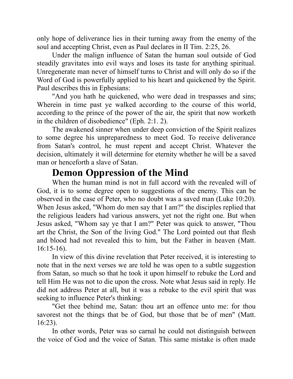only hope of deliverance lies in their turning away from the enemy of the soul and accepting Christ, even as Paul declares in II Tim. 2:25, 26.

Under the malign influence of Satan the human soul outside of God steadily gravitates into evil ways and loses its taste for anything spiritual. Unregenerate man never of himself turns to Christ and will only do so if the Word of God is powerfully applied to his heart and quickened by the Spirit. Paul describes this in Ephesians:

"And you hath he quickened, who were dead in trespasses and sins; Wherein in time past ye walked according to the course of this world, according to the prince of the power of the air, the spirit that now worketh in the children of disobedience" (Eph. 2:1. 2).

The awakened sinner when under deep conviction of the Spirit realizes to some degree his unpreparedness to meet God. To receive deliverance from Satan's control, he must repent and accept Christ. Whatever the decision, ultimately it will determine for eternity whether he will be a saved man or henceforth a slave of Satan.

## **Demon Oppression of the Mind**

When the human mind is not in full accord with the revealed will of God, it is to some degree open to suggestions of the enemy. This can be observed in the case of Peter, who no doubt was a saved man (Luke 10:20). When Jesus asked, "Whom do men say that I am?" the disciples replied that the religious leaders had various answers, yet not the right one. But when Jesus asked, "Whom say ye that I am?" Peter was quick to answer, "Thou art the Christ, the Son of the living God." The Lord pointed out that flesh and blood had not revealed this to him, but the Father in heaven (Matt. 16:15-16).

In view of this divine revelation that Peter received, it is interesting to note that in the next verses we are told he was open to a subtle suggestion from Satan, so much so that he took it upon himself to rebuke the Lord and tell Him He was not to die upon the cross. Note what Jesus said in reply. He did not address Peter at all, but it was a rebuke to the evil spirit that was seeking to influence Peter's thinking:

"Get thee behind me, Satan: thou art an offence unto me: for thou savorest not the things that be of God, but those that be of men" (Matt. 16:23).

In other words, Peter was so carnal he could not distinguish between the voice of God and the voice of Satan. This same mistake is often made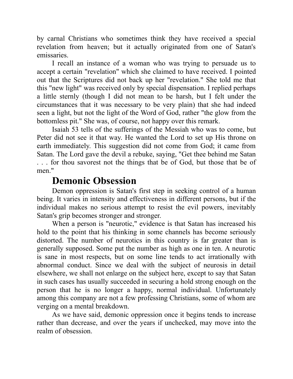by carnal Christians who sometimes think they have received a special revelation from heaven; but it actually originated from one of Satan's emissaries.

I recall an instance of a woman who was trying to persuade us to accept a certain "revelation" which she claimed to have received. I pointed out that the Scriptures did not back up her "revelation." She told me that this "new light" was received only by special dispensation. I replied perhaps a little sternly (though I did not mean to be harsh, but I felt under the circumstances that it was necessary to be very plain) that she had indeed seen a light, but not the light of the Word of God, rather "the glow from the bottomless pit." She was, of course, not happy over this remark.

Isaiah 53 tells of the sufferings of the Messiah who was to come, but Peter did not see it that way. He wanted the Lord to set up His throne on earth immediately. This suggestion did not come from God; it came from Satan. The Lord gave the devil a rebuke, saying, "Get thee behind me Satan . . . for thou savorest not the things that be of God, but those that be of men."

#### **Demonic Obsession**

Demon oppression is Satan's first step in seeking control of a human being. It varies in intensity and effectiveness in different persons, but if the individual makes no serious attempt to resist the evil powers, inevitably Satan's grip becomes stronger and stronger.

When a person is "neurotic," evidence is that Satan has increased his hold to the point that his thinking in some channels has become seriously distorted. The number of neurotics in this country is far greater than is generally supposed. Some put the number as high as one in ten. A neurotic is sane in most respects, but on some line tends to act irrationally with abnormal conduct. Since we deal with the subject of neurosis in detail elsewhere, we shall not enlarge on the subject here, except to say that Satan in such cases has usually succeeded in securing a hold strong enough on the person that he is no longer a happy, normal individual. Unfortunately among this company are not a few professing Christians, some of whom are verging on a mental breakdown.

As we have said, demonic oppression once it begins tends to increase rather than decrease, and over the years if unchecked, may move into the realm of obsession.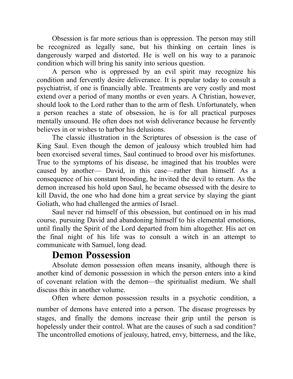Obsession is far more serious than is oppression. The person may still be recognized as legally sane, but his thinking on certain lines is dangerously warped and distorted. He is well on his way to a paranoic condition which will bring his sanity into serious question.

A person who is oppressed by an evil spirit may recognize his condition and fervently desire deliverance. It is popular today to consult a psychiatrist, if one is financially able. Treatments are very costly and most extend over a period of many months or even years. A Christian, however, should look to the Lord rather than to the arm of flesh. Unfortunately, when a person reaches a state of obsession, he is for all practical purposes mentally unsound. He often does not wish deliverance because he fervently believes in or wishes to harbor his delusions.

The classic illustration in the Scriptures of obsession is the case of King Saul. Even though the demon of jealousy which troubled him had been exorcised several times, Saul continued to brood over his misfortunes. True to the symptoms of his disease, he imagined that his troubles were caused by another— David, in this case—rather than himself. As a consequence of his constant brooding, he invited the devil to return. As the demon increased his hold upon Saul, he became obsessed with the desire to kill David, the one who had done him a great service by slaying the giant Goliath, who had challenged the armies of Israel.

Saul never rid himself of this obsession, but continued on in his mad course, pursuing David and abandoning himself to his elemental emotions, until finally the Spirit of the Lord departed from him altogether. His act on the final night of his life was to consult a witch in an attempt to communicate with Samuel, long dead.

#### **Demon Possession**

Absolute demon possession often means insanity, although there is another kind of demonic possession in which the person enters into a kind of covenant relation with the demon—the spiritualist medium. We shall discuss this in another volume.

Often where demon possession results in a psychotic condition, a number of demons have entered into a person. The disease progresses by stages, and finally the demons increase their grip until the person is hopelessly under their control. What are the causes of such a sad condition? The uncontrolled emotions of jealousy, hatred, envy, bitterness, and the like,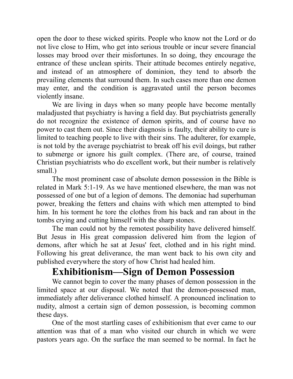open the door to these wicked spirits. People who know not the Lord or do not live close to Him, who get into serious trouble or incur severe financial losses may brood over their misfortunes. In so doing, they encourage the entrance of these unclean spirits. Their attitude becomes entirely negative, and instead of an atmosphere of dominion, they tend to absorb the prevailing elements that surround them. In such cases more than one demon may enter, and the condition is aggravated until the person becomes violently insane.

We are living in days when so many people have become mentally maladjusted that psychiatry is having a field day. But psychiatrists generally do not recognize the existence of demon spirits, and of course have no power to cast them out. Since their diagnosis is faulty, their ability to cure is limited to teaching people to live with their sins. The adulterer, for example, is not told by the average psychiatrist to break off his evil doings, but rather to submerge or ignore his guilt complex. (There are, of course, trained Christian psychiatrists who do excellent work, but their number is relatively small.)

The most prominent case of absolute demon possession in the Bible is related in Mark 5:1-19. As we have mentioned elsewhere, the man was not possessed of one but of a legion of demons. The demoniac had superhuman power, breaking the fetters and chains with which men attempted to bind him. In his torment he tore the clothes from his back and ran about in the tombs crying and cutting himself with the sharp stones.

The man could not by the remotest possibility have delivered himself. But Jesus in His great compassion delivered him from the legion of demons, after which he sat at Jesus' feet, clothed and in his right mind. Following his great deliverance, the man went back to his own city and published everywhere the story of how Christ had healed him.

# **Exhibitionism—Sign of Demon Possession**

We cannot begin to cover the many phases of demon possession in the limited space at our disposal. We noted that the demon-possessed man, immediately after deliverance clothed himself. A pronounced inclination to nudity, almost a certain sign of demon possession, is becoming common these days.

One of the most startling cases of exhibitionism that ever came to our attention was that of a man who visited our church in which we were pastors years ago. On the surface the man seemed to be normal. In fact he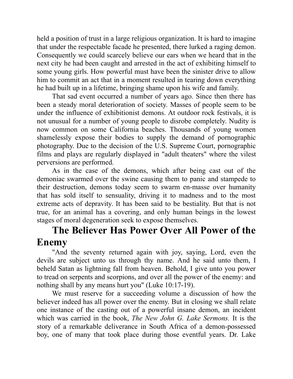held a position of trust in a large religious organization. It is hard to imagine that under the respectable facade he presented, there lurked a raging demon. Consequently we could scarcely believe our ears when we heard that in the next city he had been caught and arrested in the act of exhibiting himself to some young girls. How powerful must have been the sinister drive to allow him to commit an act that in a moment resulted in tearing down everything he had built up in a lifetime, bringing shame upon his wife and family.

That sad event occurred a number of years ago. Since then there has been a steady moral deterioration of society. Masses of people seem to be under the influence of exhibitionist demons. At outdoor rock festivals, it is not unusual for a number of young people to disrobe completely. Nudity is now common on some California beaches. Thousands of young women shamelessly expose their bodies to supply the demand of pornographic photography. Due to the decision of the U.S. Supreme Court, pornographic films and plays are regularly displayed in "adult theaters" where the vilest perversions are performed.

As in the case of the demons, which after being cast out of the demoniac swarmed over the swine causing them to panic and stampede to their destruction, demons today seem to swarm en-masse over humanity that has sold itself to sensuality, driving it to madness and to the most extreme acts of depravity. It has been said to be bestiality. But that is not true, for an animal has a covering, and only human beings in the lowest stages of moral degeneration seek to expose themselves.

## **The Believer Has Power Over All Power of the Enemy**

"And the seventy returned again with joy, saying, Lord, even the devils are subject unto us through thy name. And he said unto them, I beheld Satan as lightning fall from heaven. Behold, I give unto you power to tread on serpents and scorpions, and over all the power of the enemy: and nothing shall by any means hurt you" (Luke 10:17-19).

We must reserve for a succeeding volume a discussion of how the believer indeed has all power over the enemy. But in closing we shall relate one instance of the casting out of a powerful insane demon, an incident which was carried in the book, *The New John G. Lake Sermons.* It is the story of a remarkable deliverance in South Africa of a demon-possessed boy, one of many that took place during those eventful years. Dr. Lake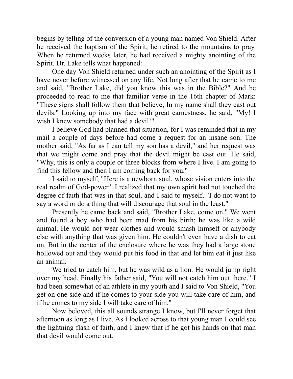begins by telling of the conversion of a young man named Von Shield. After he received the baptism of the Spirit, he retired to the mountains to pray. When he returned weeks later, he had received a mighty anointing of the Spirit. Dr. Lake tells what happened:

One day Von Shield returned under such an anointing of the Spirit as I have never before witnessed on any life. Not long after that he came to me and said, "Brother Lake, did you know this was in the Bible?" And he proceeded to read to me that familiar verse in the 16th chapter of Mark: "These signs shall follow them that believe; In my name shall they cast out devils." Looking up into my face with great earnestness, he said, "My! I wish I knew somebody that had a devil!"

I believe God had planned that situation, for I was reminded that in my mail a couple of days before had come a request for an insane son. The mother said, "As far as I can tell my son has a devil," and her request was that we might come and pray that the devil might be cast out. He said, "Why, this is only a couple or three blocks from where I live. I am going to find this fellow and then I am coming back for you."

I said to myself, "Here is a newborn soul, whose vision enters into the real realm of God-power." I realized that my own spirit had not touched the degree of faith that was in that soul, and I said to myself, "I do not want to say a word or do a thing that will discourage that soul in the least."

Presently he came back and said, "Brother Lake, come on." We went and found a boy who had been mad from his birth; he was like a wild animal. He would not wear clothes and would smash himself or anybody else with anything that was given him. He couldn't even have a dish to eat on. But in the center of the enclosure where he was they had a large stone hollowed out and they would put his food in that and let him eat it just like an animal.

We tried to catch him, but he was wild as a lion. He would jump right over my head. Finally his father said, "You will not catch him out there." I had been somewhat of an athlete in my youth and I said to Von Shield, "You get on one side and if he comes to your side you will take care of him, and if he comes to my side I will take care of him."

Now beloved, this all sounds strange I know, but I'll never forget that afternoon as long as I live. As I looked across to that young man I could see the lightning flash of faith, and I knew that if he got his hands on that man that devil would come out.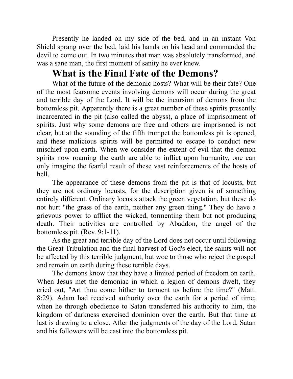Presently he landed on my side of the bed, and in an instant Von Shield sprang over the bed, laid his hands on his head and commanded the devil to come out. In two minutes that man was absolutely transformed, and was a sane man, the first moment of sanity he ever knew.

#### **What is the Final Fate of the Demons?**

What of the future of the demonic hosts? What will be their fate? One of the most fearsome events involving demons will occur during the great and terrible day of the Lord. It will be the incursion of demons from the bottomless pit. Apparently there is a great number of these spirits presently incarcerated in the pit (also called the abyss), a place of imprisonment of spirits. Just why some demons are free and others are imprisoned is not clear, but at the sounding of the fifth trumpet the bottomless pit is opened, and these malicious spirits will be permitted to escape to conduct new mischief upon earth. When we consider the extent of evil that the demon spirits now roaming the earth are able to inflict upon humanity, one can only imagine the fearful result of these vast reinforcements of the hosts of hell.

The appearance of these demons from the pit is that of locusts, but they are not ordinary locusts, for the description given is of something entirely different. Ordinary locusts attack the green vegetation, but these do not hurt "the grass of the earth, neither any green thing." They do have a grievous power to afflict the wicked, tormenting them but not producing death. Their activities are controlled by Abaddon, the angel of the bottomless pit. (Rev. 9:1-11).

As the great and terrible day of the Lord does not occur until following the Great Tribulation and the final harvest of God's elect, the saints will not be affected by this terrible judgment, but woe to those who reject the gospel and remain on earth during these terrible days.

The demons know that they have a limited period of freedom on earth. When Jesus met the demoniac in which a legion of demons dwelt, they cried out, "Art thou come hither to torment us before the time?" (Matt. 8:29). Adam had received authority over the earth for a period of time; when he through obedience to Satan transferred his authority to him, the kingdom of darkness exercised dominion over the earth. But that time at last is drawing to a close. After the judgments of the day of the Lord, Satan and his followers will be cast into the bottomless pit.